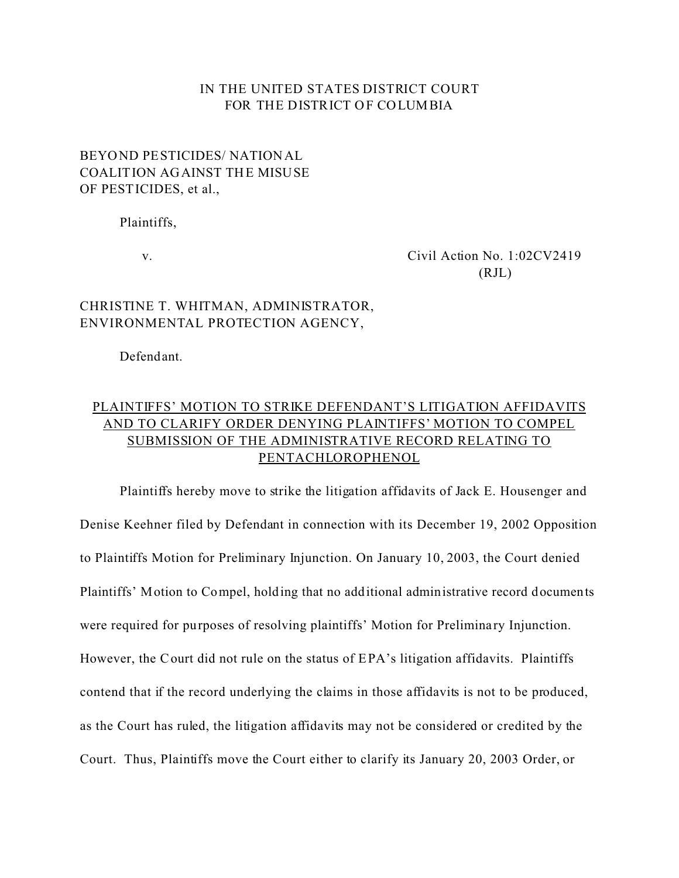### IN THE UNITED STATES DISTRICT COURT FOR THE DISTRICT OF COLUMBIA

## BEYOND PESTICIDES/ NATIONAL COALITION AGAINST THE MISUSE OF PESTICIDES, et al.,

Plaintiffs,

v. Civil Action No. 1:02CV2419  $(RJL)$ 

## CHRISTINE T. WHITMAN, ADMINISTRATOR, ENVIRONMENTAL PROTECTION AGENCY,

Defendant.

# PLAINTIFFS' MOTION TO STRIKE DEFENDANT'S LITIGATION AFFIDAVITS AND TO CLARIFY ORDER DENYING PLAINTIFFS' MOTION TO COMPEL SUBMISSION OF THE ADMINISTRATIVE RECORD RELATING TO PENTACHLOROPHENOL

Plaintiffs hereby move to strike the litigation affidavits of Jack E. Housenger and Denise Keehner filed by Defendant in connection with its December 19, 2002 Opposition to Plaintiffs Motion for Preliminary Injunction. On January 10, 2003, the Court denied Plaintiffs' Motion to Compel, holding that no additional administrative record documents were required for purposes of resolving plaintiffs' Motion for Prelimina ry Injunction. However, the Court did not rule on the status of EPA's litigation affidavits. Plaintiffs contend that if the record underlying the claims in those affidavits is not to be produced, as the Court has ruled, the litigation affidavits may not be considered or credited by the Court. Thus, Plaintiffs move the Court either to clarify its January 20, 2003 Order, or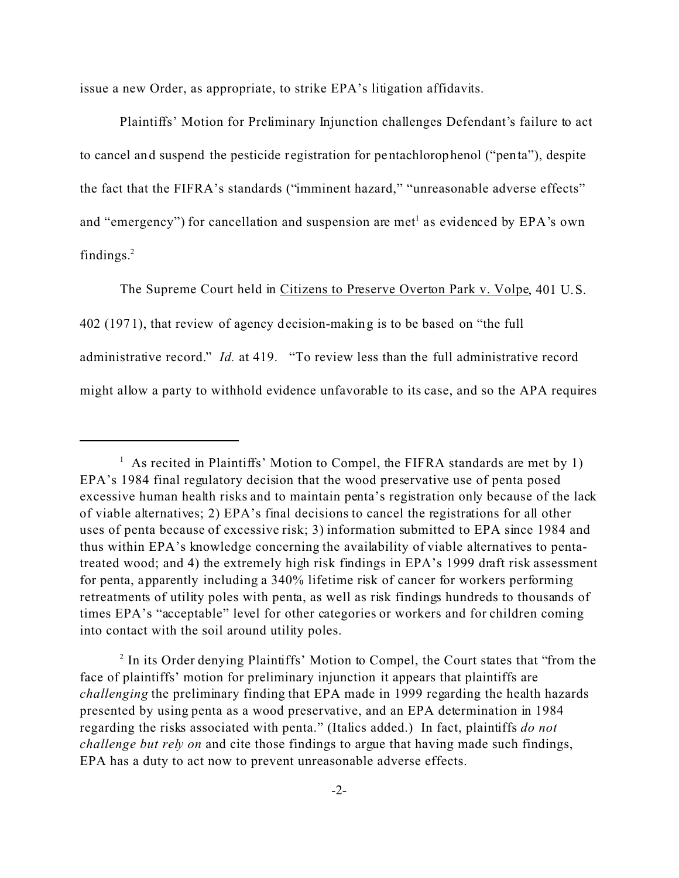issue a new Order, as appropriate, to strike EPA's litigation affidavits.

Plaintiffs' Motion for Preliminary Injunction challenges Defendant's failure to act to cancel and suspend the pesticide registration for pentachlorophenol ("penta"), despite the fact that the FIFRA's standards ("imminent hazard," "unreasonable adverse effects" and "emergency") for cancellation and suspension are met<sup>1</sup> as evidenced by EPA's own findings.<sup>2</sup>

The Supreme Court held in Citizens to Preserve Overton Park v. Volpe, 401 U.S. 402 (1971), that review of agency decision-making is to be based on "the full administrative record." *Id.* at 419. "To review less than the full administrative record might allow a party to withhold evidence unfavorable to its case, and so the APA requires

 $<sup>1</sup>$  As recited in Plaintiffs' Motion to Compel, the FIFRA standards are met by 1)</sup> EPA's 1984 final regulatory decision that the wood preservative use of penta posed excessive human health risks and to maintain penta's registration only because of the lack of viable alternatives; 2) EPA's final decisions to cancel the registrations for all other uses of penta because of excessive risk; 3) information submitted to EPA since 1984 and thus within EPA's knowledge concerning the availability of viable alternatives to pentatreated wood; and 4) the extremely high risk findings in EPA's 1999 draft risk assessment for penta, apparently including a 340% lifetime risk of cancer for workers performing retreatments of utility poles with penta, as well as risk findings hundreds to thousands of times EPA's "acceptable" level for other categories or workers and for children coming into contact with the soil around utility poles.

<sup>&</sup>lt;sup>2</sup> In its Order denying Plaintiffs' Motion to Compel, the Court states that "from the face of plaintiffs' motion for preliminary injunction it appears that plaintiffs are *challenging* the preliminary finding that EPA made in 1999 regarding the health hazards presented by using penta as a wood preservative, and an EPA determination in 1984 regarding the risks associated with penta." (Italics added.) In fact, plaintiffs *do not challenge but rely on* and cite those findings to argue that having made such findings, EPA has a duty to act now to prevent unreasonable adverse effects.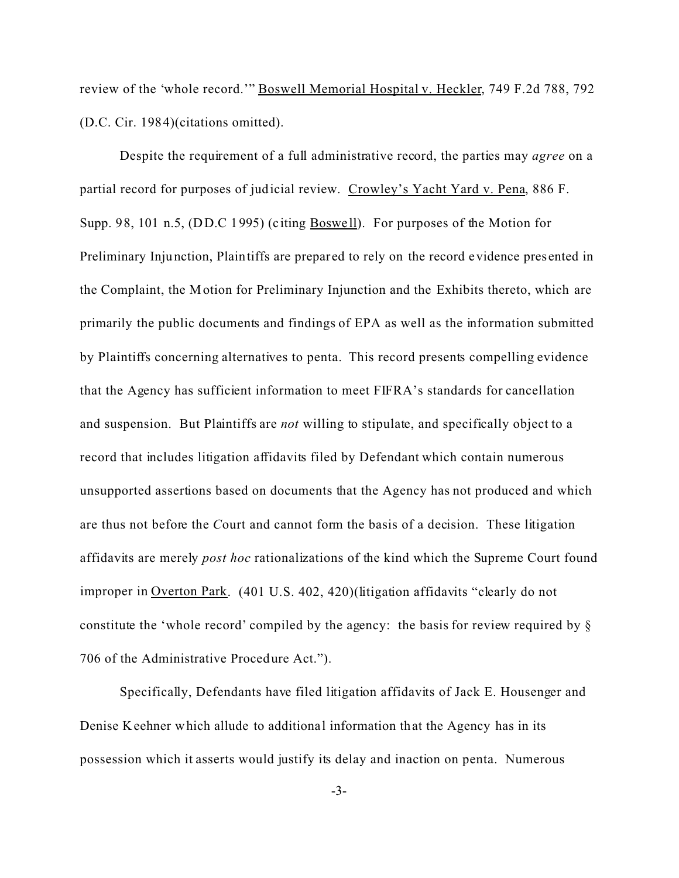review of the 'whole record.'" Boswell Memorial Hospital v. Heckler, 749 F.2d 788, 792 (D.C. Cir. 1984)(citations omitted).

Despite the requirement of a full administrative record, the parties may *agree* on a partial record for purposes of judicial review. Crowley's Yacht Yard v. Pena, 886 F. Supp. 98, 101 n.5, (DD.C 1995) (citing Boswe ll). For purposes of the Motion for Preliminary Injunction, Plaintiffs are prepared to rely on the record evidence pres ented in the Complaint, the Motion for Preliminary Injunction and the Exhibits thereto, which are primarily the public documents and findings of EPA as well as the information submitted by Plaintiffs concerning alternatives to penta. This record presents compelling evidence that the Agency has sufficient information to meet FIFRA's standards for cancellation and suspension. But Plaintiffs are *not* willing to stipulate, and specifically object to a record that includes litigation affidavits filed by Defendant which contain numerous unsupported assertions based on documents that the Agency has not produced and which are thus not before the *C*ourt and cannot form the basis of a decision. These litigation affidavits are merely *post hoc* rationalizations of the kind which the Supreme Court found improper in Overton Park. (401 U.S. 402, 420)(litigation affidavits "clearly do not constitute the 'whole record' compiled by the agency: the basis for review required by § 706 of the Administrative Procedure Act.").

Specifically, Defendants have filed litigation affidavits of Jack E. Housenger and Denise Keehner which allude to additional information that the Agency has in its possession which it asserts would justify its delay and inaction on penta. Numerous

-3-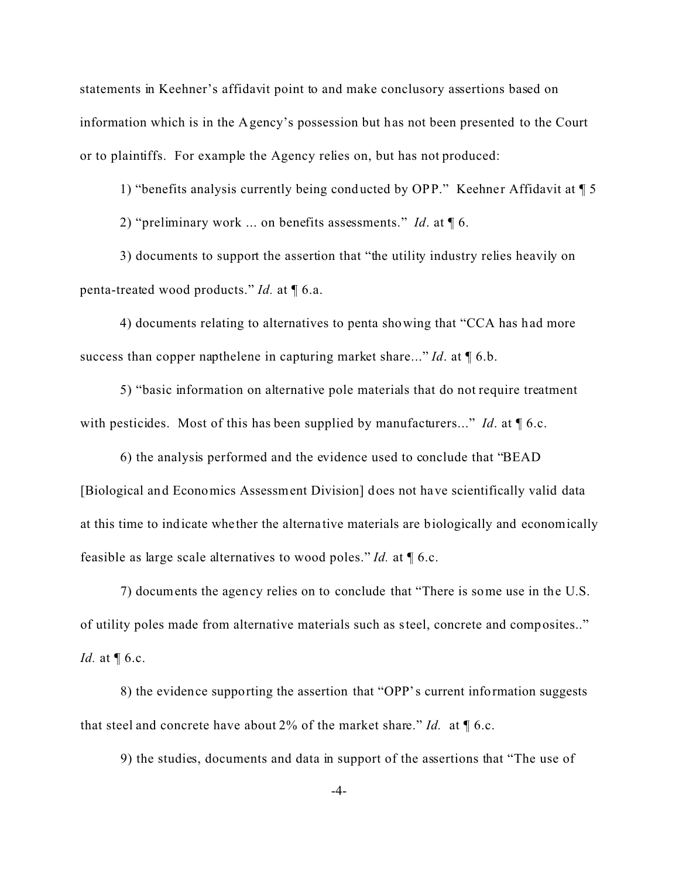statements in Keehner's affidavit point to and make conclusory assertions based on information which is in the Agency's possession but has not been presented to the Court or to plaintiffs. For example the Agency relies on, but has not produced:

1) "benefits analysis currently being conducted by OPP." Keehner Affidavit at  $\P$  5

2) "preliminary work ... on benefits assessments." *Id*. at ¶ 6.

3) documents to support the assertion that "the utility industry relies heavily on penta-treated wood products." *Id.* at ¶ 6.a.

4) documents relating to alternatives to penta showing that "CCA has had more success than copper napthelene in capturing market share..." *Id*. at ¶ 6.b.

5) "basic information on alternative pole materials that do not require treatment with pesticides. Most of this has been supplied by manufacturers..." *Id*. at ¶ 6.c.

6) the analysis performed and the evidence used to conclude that "BEAD [Biological and Economics Assessment Division] does not have scientifically valid data at this time to indicate whe ther the alterna tive materials are biologically and economically feasible as large scale alternatives to wood poles." *Id.* at ¶ 6.c.

7) documents the agency relies on to conclude that "There is some use in the U.S. of utility poles made from alternative materials such as steel, concrete and composites.." *Id.* at  $\P$  6.c.

8) the evidence supporting the assertion that "OPP's current information suggests that steel and concrete have about 2% of the market share." *Id.* at ¶ 6.c.

9) the studies, documents and data in support of the assertions that "The use of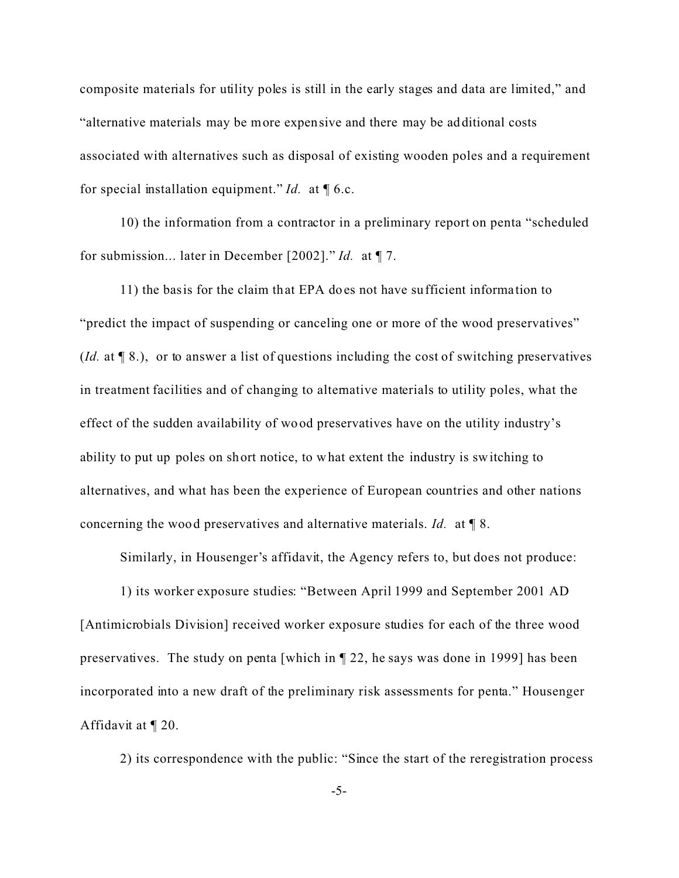composite materials for utility poles is still in the early stages and data are limited," and "alternative materials may be more expensive and there may be additional costs associated with alternatives such as disposal of existing wooden poles and a requirement for special installation equipment." *Id.* at ¶ 6.c.

10) the information from a contractor in a preliminary report on penta "scheduled for submission... later in December [2002]." *Id.* at ¶ 7.

11) the basis for the claim that EPA does not have sufficient informa tion to "predict the impact of suspending or canceling one or more of the wood preservatives" (*Id.* at ¶ 8.), or to answer a list of questions including the cost of switching preservatives in treatment facilities and of changing to alternative materials to utility poles, what the effect of the sudden availability of wood preservatives have on the utility industry's ability to put up poles on short notice, to what extent the industry is switching to alternatives, and what has been the experience of European countries and other nations concerning the wood preservatives and alternative materials. *Id.* at ¶ 8.

Similarly, in Housenger's affidavit, the Agency refers to, but does not produce:

1) its worker exposure studies: "Between April 1999 and September 2001 AD [Antimicrobials Division] received worker exposure studies for each of the three wood preservatives. The study on penta [which in ¶ 22, he says was done in 1999] has been incorporated into a new draft of the preliminary risk assessments for penta." Housenger Affidavit at ¶ 20.

2) its correspondence with the public: "Since the start of the reregistration process

-5-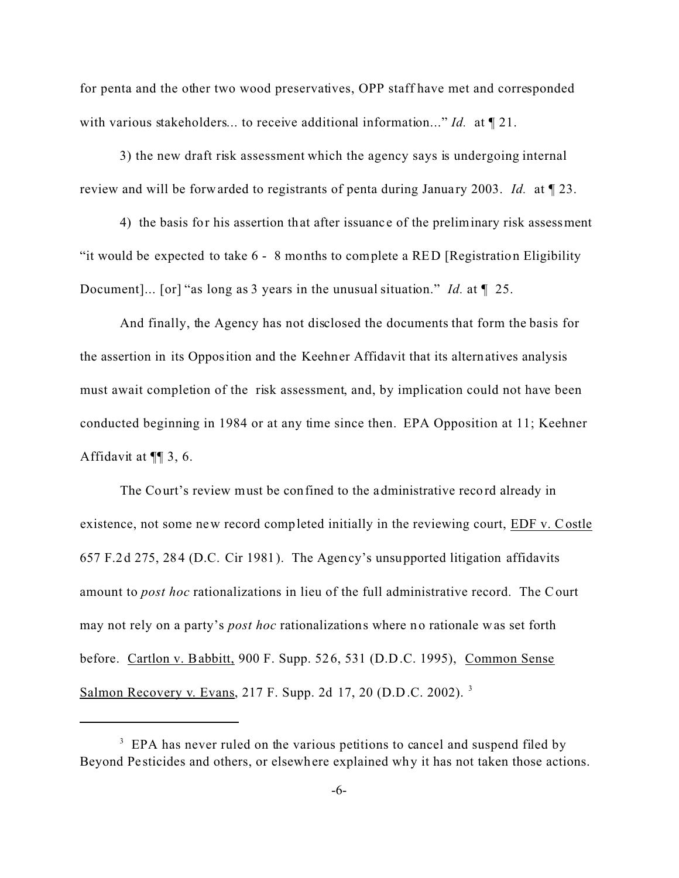for penta and the other two wood preservatives, OPP staff have met and corresponded with various stakeholders... to receive additional information..." *Id.* at ¶ 21.

3) the new draft risk assessment which the agency says is undergoing internal review and will be forwarded to registrants of penta during January 2003. *Id.* at  $\llbracket 23$ .

4) the basis for his assertion that after issuanc e of the preliminary risk assessment "it would be expected to take 6 - 8 months to complete a RED [Registration Eligibility Document]... [or] "as long as 3 years in the unusual situation." *Id.* at ¶ 25.

And finally, the Agency has not disclosed the documents that form the basis for the assertion in its Opposition and the Keehner Affidavit that its alternatives analysis must await completion of the risk assessment, and, by implication could not have been conducted beginning in 1984 or at any time since then. EPA Opposition at 11; Keehner Affidavit at ¶¶ 3, 6.

The Court's review must be confined to the administrative record already in existence, not some new record completed initially in the reviewing court, EDF v. Costle 657 F.2d 275, 284 (D.C. Cir 1981). The Agency's unsupported litigation affidavits amount to *post hoc* rationalizations in lieu of the full administrative record. The Court may not rely on a party's *post hoc* rationalizations where no rationale was set forth before. Cartlon v. Babbitt, 900 F. Supp. 526, 531 (D.D.C. 1995), Common Sense Salmon Recovery v. Evans, 217 F. Supp. 2d 17, 20 (D.D.C. 2002). 3

<sup>&</sup>lt;sup>3</sup> EPA has never ruled on the various petitions to cancel and suspend filed by Beyond Pe sticides and others, or elsewhere explained why it has not taken those actions.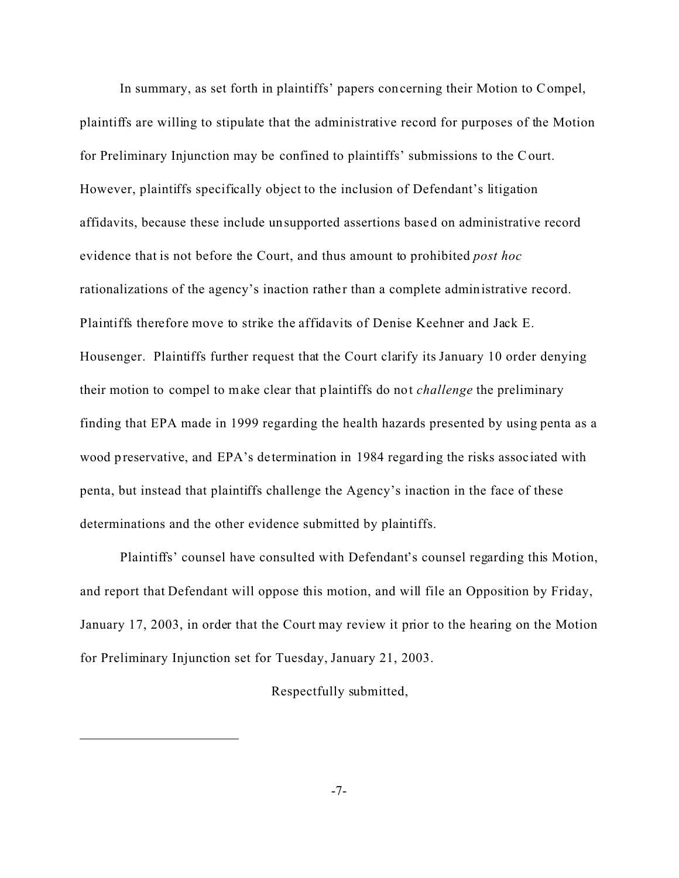In summary, as set forth in plaintiffs' papers concerning their Motion to Compel, plaintiffs are willing to stipulate that the administrative record for purposes of the Motion for Preliminary Injunction may be confined to plaintiffs' submissions to the Court. However, plaintiffs specifically object to the inclusion of Defendant's litigation affidavits, because these include unsupported assertions based on administrative record evidence that is not before the Court, and thus amount to prohibited *post hoc* rationalizations of the agency's inaction rather than a complete administrative record. Plaintiffs therefore move to strike the affidavits of Denise Keehner and Jack E. Housenger. Plaintiffs further request that the Court clarify its January 10 order denying their motion to compel to make clear that plaintiffs do not *challenge* the preliminary finding that EPA made in 1999 regarding the health hazards presented by using penta as a wood preservative, and EPA's de termination in 1984 regarding the risks associated with penta, but instead that plaintiffs challenge the Agency's inaction in the face of these determinations and the other evidence submitted by plaintiffs.

Plaintiffs' counsel have consulted with Defendant's counsel regarding this Motion, and report that Defendant will oppose this motion, and will file an Opposition by Friday, January 17, 2003, in order that the Court may review it prior to the hearing on the Motion for Preliminary Injunction set for Tuesday, January 21, 2003.

#### Respectfully submitted,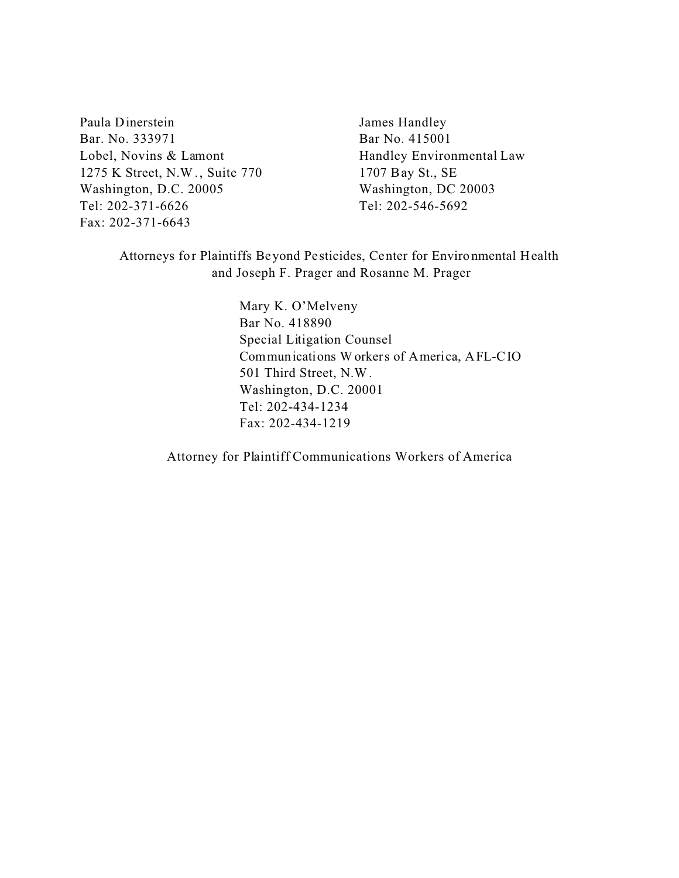Paula Dinerstein James Handley Bar. No. 333971 Bar No. 415001 Lobel, Novins & Lamont Handley Environmental Law 1275 K Street, N.W., Suite 770 1707 Bay St., SE Washington, D.C. 20005 Washington, DC 20003 Tel: 202-371-6626 Tel: 202-546-5692 Fax: 202-371-6643

Attorneys for Plaintiffs Beyond Pe sticides, Center for Environmental Health and Joseph F. Prager and Rosanne M. Prager

> Mary K. O'Melveny Bar No. 418890 Special Litigation Counsel Communications Workers of America, AFL-CIO 501 Third Street, N.W. Washington, D.C. 20001 Tel: 202-434-1234 Fax: 202-434-1219

Attorney for Plaintiff Communications Workers of America